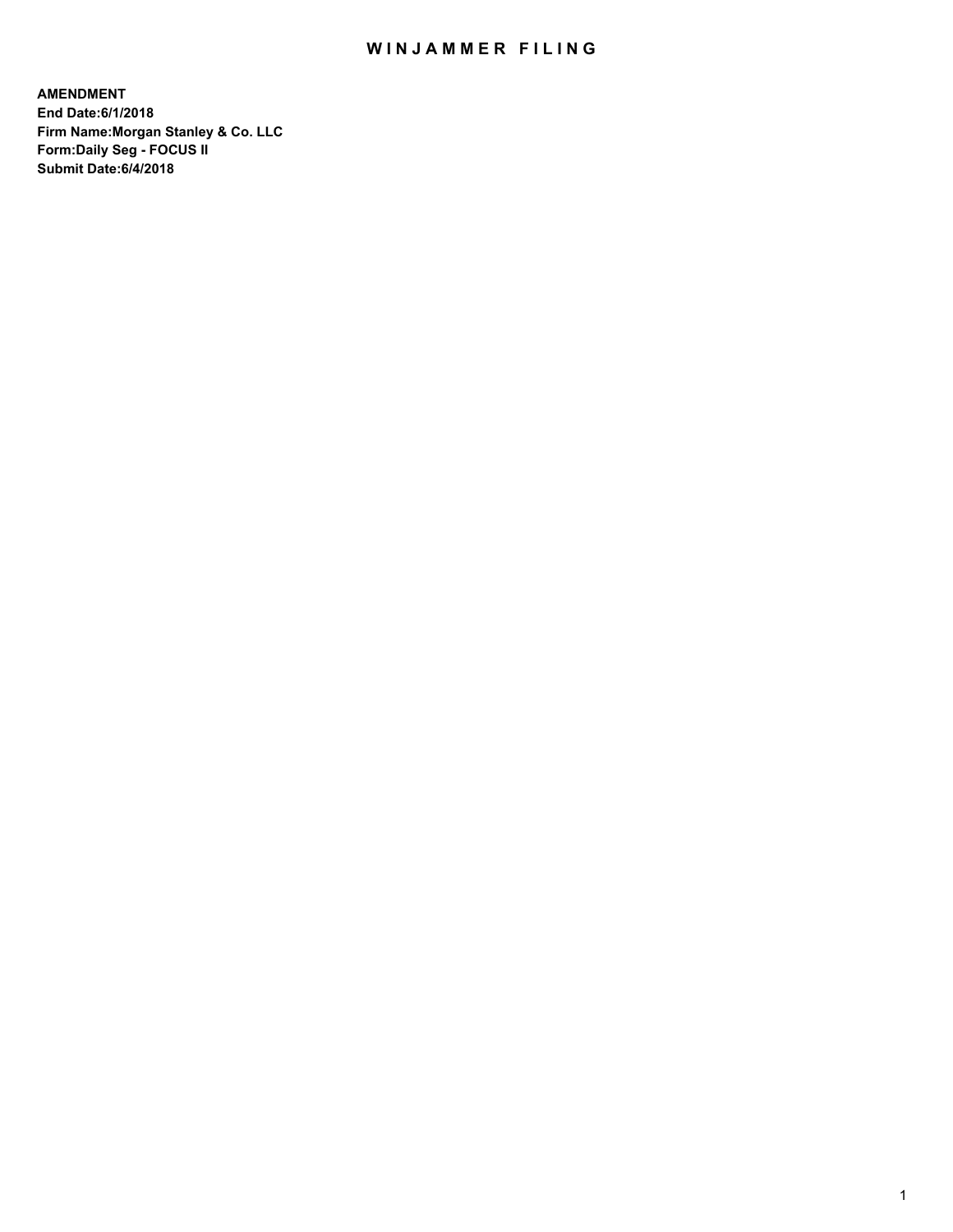## WIN JAMMER FILING

**AMENDMENT End Date:6/1/2018 Firm Name:Morgan Stanley & Co. LLC Form:Daily Seg - FOCUS II Submit Date:6/4/2018**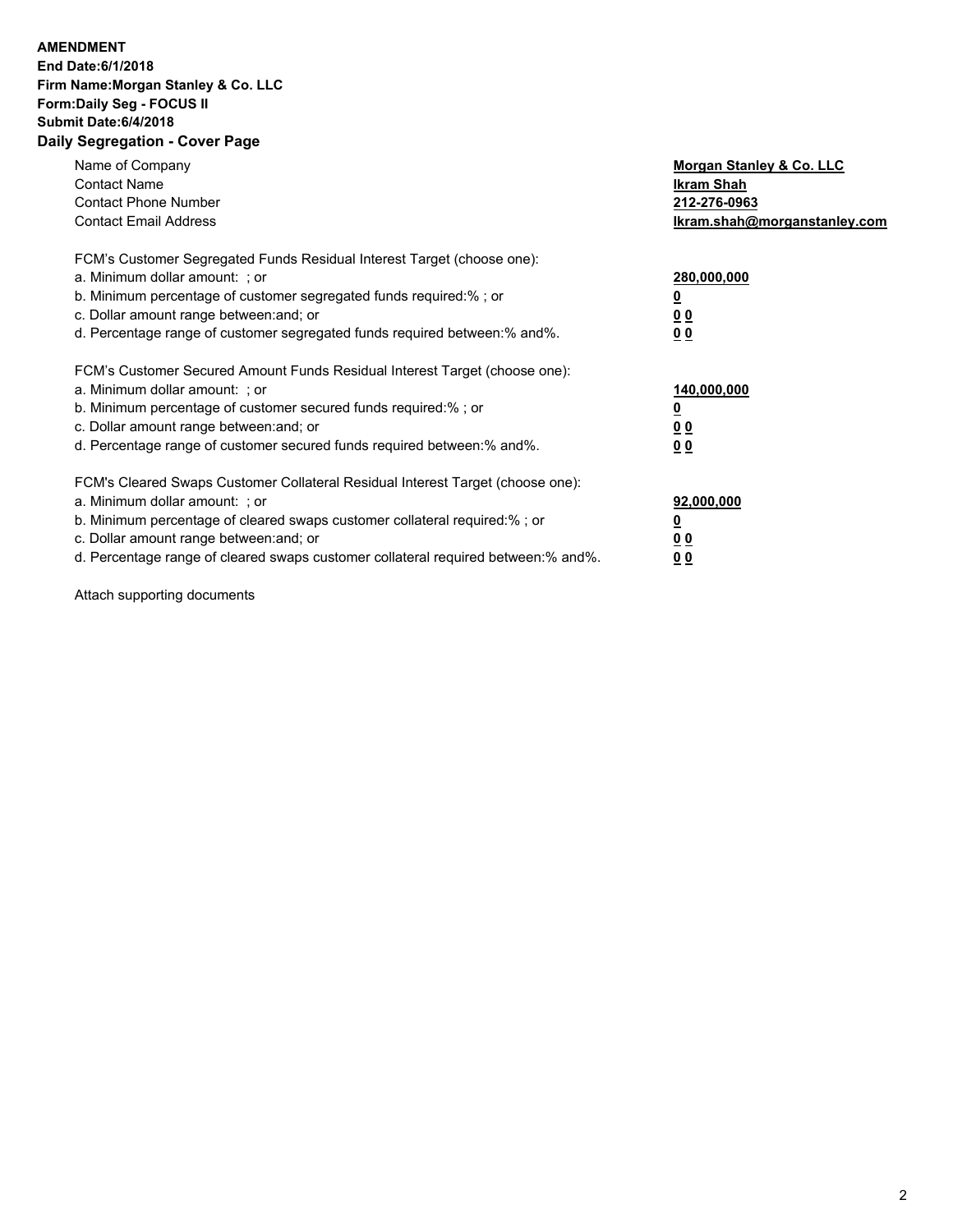## **AMENDMENT**

**End Date:6/1/2018 Firm Name:Morgan Stanley & Co. LLC Form:Daily Seg - FOCUS II Submit Date:6/4/2018 Daily Segregation - Cover Page**

| Name of Company<br><b>Contact Name</b><br><b>Contact Phone Number</b><br><b>Contact Email Address</b>                                                                                                                                                                                                                          | Morgan Stanley & Co. LLC<br>Ikram Shah<br>212-276-0963<br>Ikram.shah@morganstanley.com |
|--------------------------------------------------------------------------------------------------------------------------------------------------------------------------------------------------------------------------------------------------------------------------------------------------------------------------------|----------------------------------------------------------------------------------------|
| FCM's Customer Segregated Funds Residual Interest Target (choose one):<br>a. Minimum dollar amount: ; or<br>b. Minimum percentage of customer segregated funds required:%; or<br>c. Dollar amount range between: and; or<br>d. Percentage range of customer segregated funds required between:% and%.                          | 280,000,000<br>0 <sub>0</sub><br>00                                                    |
| FCM's Customer Secured Amount Funds Residual Interest Target (choose one):<br>a. Minimum dollar amount: ; or<br>b. Minimum percentage of customer secured funds required:%; or<br>c. Dollar amount range between: and; or<br>d. Percentage range of customer secured funds required between:% and%.                            | 140,000,000<br>0 <sub>0</sub><br>00                                                    |
| FCM's Cleared Swaps Customer Collateral Residual Interest Target (choose one):<br>a. Minimum dollar amount: ; or<br>b. Minimum percentage of cleared swaps customer collateral required:% ; or<br>c. Dollar amount range between: and; or<br>d. Percentage range of cleared swaps customer collateral required between:% and%. | 92,000,000<br>00<br><u>0 0</u>                                                         |

Attach supporting documents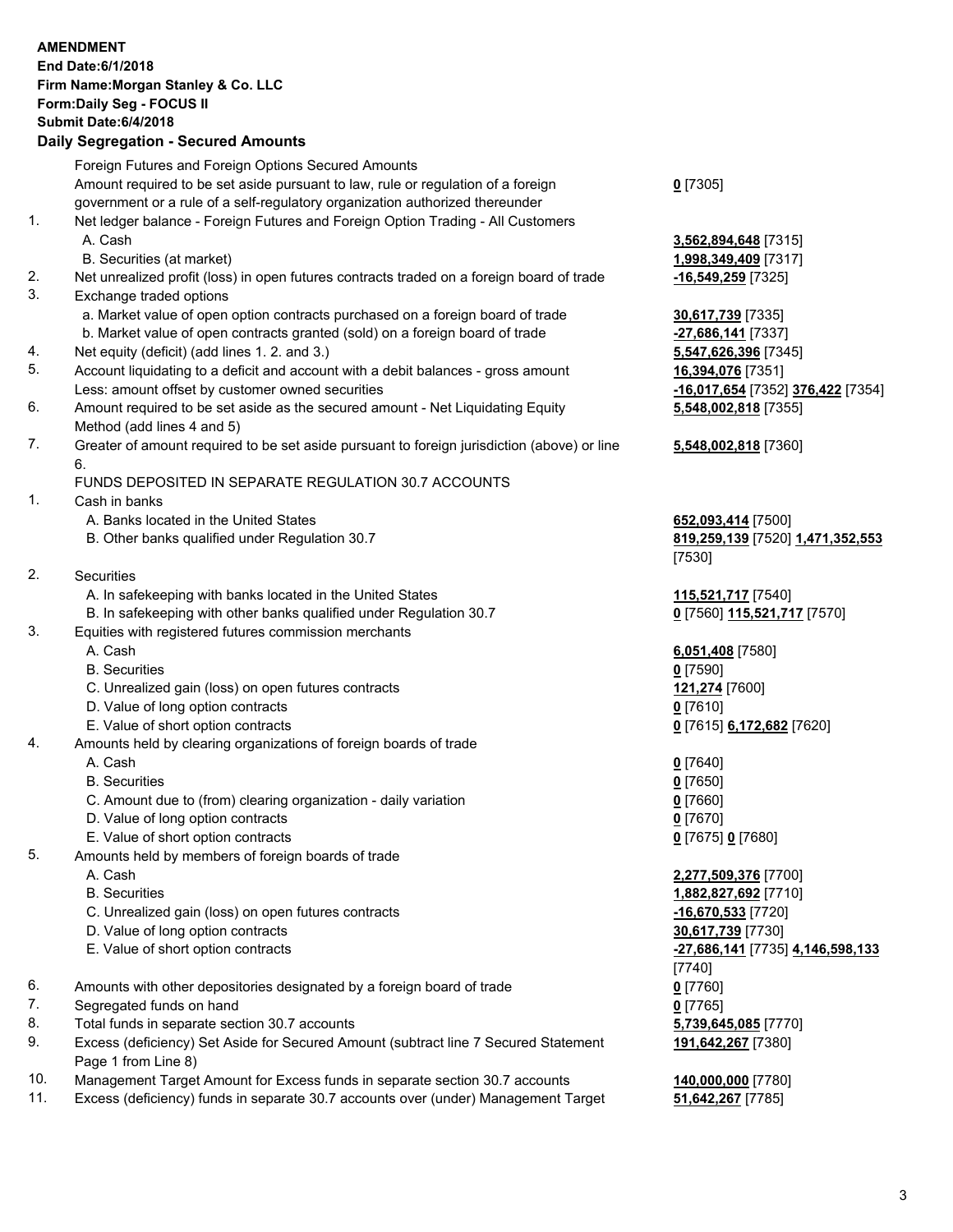|          | <b>AMENDMENT</b><br>End Date: 6/1/2018<br>Firm Name: Morgan Stanley & Co. LLC<br>Form: Daily Seg - FOCUS II<br><b>Submit Date:6/4/2018</b><br><b>Daily Segregation - Secured Amounts</b> |                                                        |
|----------|------------------------------------------------------------------------------------------------------------------------------------------------------------------------------------------|--------------------------------------------------------|
|          | Foreign Futures and Foreign Options Secured Amounts                                                                                                                                      |                                                        |
|          | Amount required to be set aside pursuant to law, rule or regulation of a foreign                                                                                                         | $0$ [7305]                                             |
|          | government or a rule of a self-regulatory organization authorized thereunder                                                                                                             |                                                        |
| 1.       | Net ledger balance - Foreign Futures and Foreign Option Trading - All Customers                                                                                                          |                                                        |
|          | A. Cash                                                                                                                                                                                  | 3,562,894,648 [7315]                                   |
|          | B. Securities (at market)                                                                                                                                                                | 1,998,349,409 [7317]                                   |
| 2.<br>3. | Net unrealized profit (loss) in open futures contracts traded on a foreign board of trade<br>Exchange traded options                                                                     | -16,549,259 [7325]                                     |
|          | a. Market value of open option contracts purchased on a foreign board of trade                                                                                                           | 30,617,739 [7335]                                      |
|          | b. Market value of open contracts granted (sold) on a foreign board of trade                                                                                                             | -27,686,141 [7337]                                     |
| 4.       | Net equity (deficit) (add lines 1.2. and 3.)                                                                                                                                             | 5,547,626,396 [7345]                                   |
| 5.       | Account liquidating to a deficit and account with a debit balances - gross amount                                                                                                        | 16,394,076 [7351]                                      |
|          | Less: amount offset by customer owned securities                                                                                                                                         | -16,017,654 [7352] 376,422 [7354]                      |
| 6.       | Amount required to be set aside as the secured amount - Net Liquidating Equity<br>Method (add lines 4 and 5)                                                                             | 5,548,002,818 [7355]                                   |
| 7.       | Greater of amount required to be set aside pursuant to foreign jurisdiction (above) or line                                                                                              | 5,548,002,818 [7360]                                   |
|          | 6.                                                                                                                                                                                       |                                                        |
|          | FUNDS DEPOSITED IN SEPARATE REGULATION 30.7 ACCOUNTS                                                                                                                                     |                                                        |
| 1.       | Cash in banks<br>A. Banks located in the United States                                                                                                                                   |                                                        |
|          | B. Other banks qualified under Regulation 30.7                                                                                                                                           | 652,093,414 [7500]<br>819,259,139 [7520] 1,471,352,553 |
|          |                                                                                                                                                                                          | [7530]                                                 |
| 2.       | Securities                                                                                                                                                                               |                                                        |
|          | A. In safekeeping with banks located in the United States                                                                                                                                | 115,521,717 [7540]                                     |
|          | B. In safekeeping with other banks qualified under Regulation 30.7                                                                                                                       | 0 [7560] 115,521,717 [7570]                            |
| 3.       | Equities with registered futures commission merchants                                                                                                                                    |                                                        |
|          | A. Cash                                                                                                                                                                                  | 6,051,408 [7580]                                       |
|          | <b>B.</b> Securities                                                                                                                                                                     | $0$ [7590]                                             |
|          | C. Unrealized gain (loss) on open futures contracts<br>D. Value of long option contracts                                                                                                 | 121,274 [7600]<br>0 [7610]                             |
|          | E. Value of short option contracts                                                                                                                                                       | 0 [7615] 6,172,682 [7620]                              |
| 4.       | Amounts held by clearing organizations of foreign boards of trade                                                                                                                        |                                                        |
|          | A. Cash                                                                                                                                                                                  | $0$ [7640]                                             |
|          | <b>B.</b> Securities                                                                                                                                                                     | $0$ [7650]                                             |
|          | C. Amount due to (from) clearing organization - daily variation                                                                                                                          | $0$ [7660]                                             |
|          | D. Value of long option contracts                                                                                                                                                        | $0$ [7670]                                             |
| 5.       | E. Value of short option contracts<br>Amounts held by members of foreign boards of trade                                                                                                 | 0 [7675] 0 [7680]                                      |
|          | A. Cash                                                                                                                                                                                  | 2,277,509,376 [7700]                                   |
|          | <b>B.</b> Securities                                                                                                                                                                     | 1,882,827,692 [7710]                                   |
|          | C. Unrealized gain (loss) on open futures contracts                                                                                                                                      | $-16,670,533$ [7720]                                   |
|          | D. Value of long option contracts                                                                                                                                                        | 30,617,739 [7730]                                      |
|          | E. Value of short option contracts                                                                                                                                                       | <u>-27,686,141</u> [7735] 4,146,598,133                |
|          |                                                                                                                                                                                          | [7740]                                                 |
| 6.       | Amounts with other depositories designated by a foreign board of trade                                                                                                                   | $0$ [7760]                                             |
| 7.       | Segregated funds on hand                                                                                                                                                                 | $0$ [7765]                                             |
| 8.<br>9. | Total funds in separate section 30.7 accounts<br>Excess (deficiency) Set Aside for Secured Amount (subtract line 7 Secured Statement                                                     | 5,739,645,085 [7770]                                   |
|          | Page 1 from Line 8)                                                                                                                                                                      | 191,642,267 [7380]                                     |
| 10.      | Management Target Amount for Excess funds in separate section 30.7 accounts                                                                                                              | 140,000,000 [7780]                                     |
| 11.      | Excess (deficiency) funds in separate 30.7 accounts over (under) Management Target                                                                                                       | 51,642,267 [7785]                                      |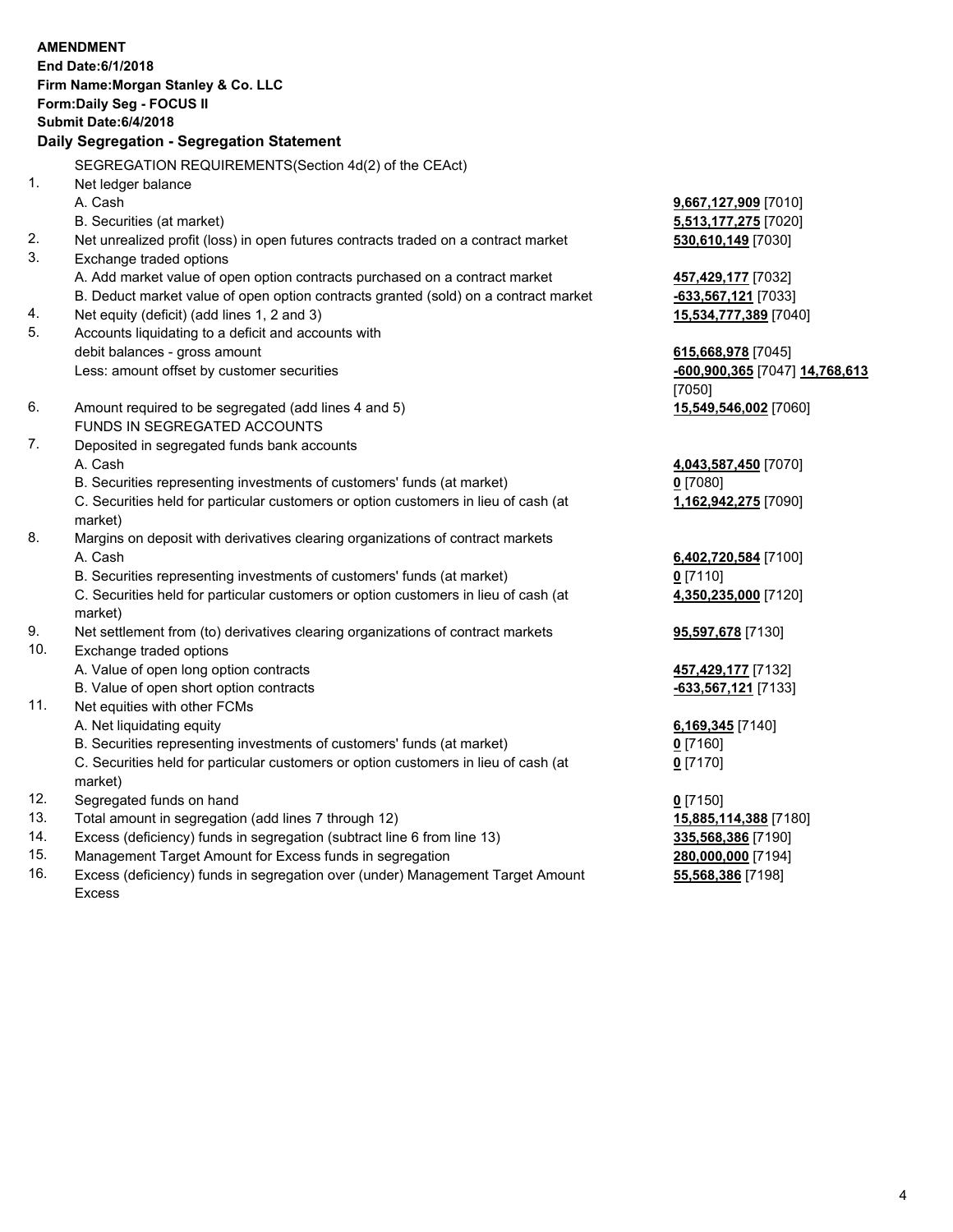|           | <b>AMENDMENT</b>                                                                                    |                                |
|-----------|-----------------------------------------------------------------------------------------------------|--------------------------------|
|           | End Date: 6/1/2018                                                                                  |                                |
|           | Firm Name: Morgan Stanley & Co. LLC                                                                 |                                |
|           | Form: Daily Seg - FOCUS II                                                                          |                                |
|           | Submit Date: 6/4/2018                                                                               |                                |
|           | Daily Segregation - Segregation Statement                                                           |                                |
|           |                                                                                                     |                                |
|           | SEGREGATION REQUIREMENTS(Section 4d(2) of the CEAct)                                                |                                |
| 1.        | Net ledger balance                                                                                  |                                |
|           | A. Cash                                                                                             | 9,667,127,909 [7010]           |
|           | B. Securities (at market)                                                                           | 5,513,177,275 [7020]           |
| 2.        | Net unrealized profit (loss) in open futures contracts traded on a contract market                  | 530,610,149 [7030]             |
| 3.        | Exchange traded options                                                                             |                                |
|           | A. Add market value of open option contracts purchased on a contract market                         | 457,429,177 [7032]             |
|           | B. Deduct market value of open option contracts granted (sold) on a contract market                 | $-633,567,121$ [7033]          |
| 4.        | Net equity (deficit) (add lines 1, 2 and 3)                                                         | 15,534,777,389 [7040]          |
| 5.        | Accounts liquidating to a deficit and accounts with                                                 |                                |
|           | debit balances - gross amount                                                                       | 615,668,978 [7045]             |
|           | Less: amount offset by customer securities                                                          | -600,900,365 [7047] 14,768,613 |
|           |                                                                                                     | [7050]                         |
| 6.        | Amount required to be segregated (add lines 4 and 5)                                                | 15,549,546,002 [7060]          |
|           | FUNDS IN SEGREGATED ACCOUNTS                                                                        |                                |
| 7.        | Deposited in segregated funds bank accounts                                                         |                                |
|           | A. Cash                                                                                             | 4,043,587,450 [7070]           |
|           | B. Securities representing investments of customers' funds (at market)                              | $0$ [7080]                     |
|           | C. Securities held for particular customers or option customers in lieu of cash (at                 | 1,162,942,275 [7090]           |
|           | market)                                                                                             |                                |
| 8.        | Margins on deposit with derivatives clearing organizations of contract markets                      |                                |
|           | A. Cash                                                                                             | 6,402,720,584 [7100]           |
|           | B. Securities representing investments of customers' funds (at market)                              | $0$ [7110]                     |
|           | C. Securities held for particular customers or option customers in lieu of cash (at                 | 4,350,235,000 [7120]           |
|           | market)                                                                                             |                                |
| 9.<br>10. | Net settlement from (to) derivatives clearing organizations of contract markets                     | <b>95,597,678</b> [7130]       |
|           | Exchange traded options                                                                             |                                |
|           | A. Value of open long option contracts                                                              | 457,429,177 [7132]             |
| 11.       | B. Value of open short option contracts                                                             | -633,567,121 [7133]            |
|           | Net equities with other FCMs                                                                        |                                |
|           | A. Net liquidating equity<br>B. Securities representing investments of customers' funds (at market) | 6,169,345 [7140]               |
|           | C. Securities held for particular customers or option customers in lieu of cash (at                 | $0$ [7160]                     |
|           |                                                                                                     | $0$ [7170]                     |
| 12.       | market)<br>Segregated funds on hand                                                                 |                                |
| 13.       | Total amount in segregation (add lines 7 through 12)                                                | $0$ [7150]                     |
| 14.       | Excess (deficiency) funds in segregation (subtract line 6 from line 13)                             | 15,885,114,388 [7180]          |
|           |                                                                                                     | 335,568,386 [7190]             |

- 
- 15. Management Target Amount for Excess funds in segregation<br>16. Excess (deficiency) funds in segregation over (under) Management Target Amount **280,000,000** [7198] Excess (deficiency) funds in segregation over (under) Management Target Amount Excess

**55,568,386** [7198]